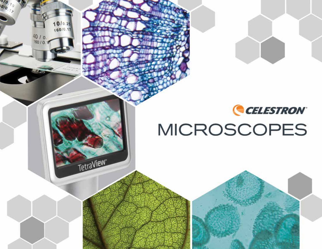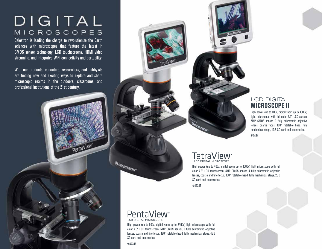## DIGITAL **MICROSCOPES**

Celestron is leading the charge to revolutionize the Earth sciences with microscopes that feature the latest in CMOS sensor technology, LCD touchscreens, HDMI video streaming, and integrated WiFi connectivity and portability.

With our products, educators, researchers, and hobbyists are finding new and exciting ways to explore and share microscopic realms in the outdoors, classrooms, and professional institutions of the 21st century.

PentaView

#### LCD DIGITAL **MICROSCOPE II**

High power (up to 400x, digital zoom up to 1600x) light microscope with full color 3.5" LCD screen, 5MP CMOS sensor, 3 fully achromatic objective lenses, coarse focus, 180° rotatable head, fully mechanical stage, 1GB SD card and accessories.

#44341

#### TetraView<sup>®</sup> **LCD DIGITAL MICROSCOPE**

**LESTRON** 

High power (up to 400x, digital zoom up to 1600x) light microscope with full color 4.3" LCD touchscreen, 5MP CMOS sensor, 4 fully achromatic objective lenses, coarse and fine focus, 180° rotatable head, fully mechanical stage, 2GB SD card and accessories.

#44347

### PentaView<sup>®</sup>

High power (up to 600x, digital zoom up to 2400x) light microscope with full color 4.3" LCD touchscreen, 5MP CMOS sensor, 5 fully achromatic objective lenses, coarse and fine focus, 180° rotatable head, fully mechanical stage, 4GB SD card and accessories.

#44348

**QCELESTROM**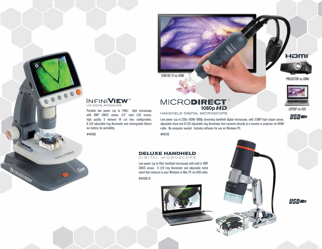1080 HD TV via HDMI

### **INFINIVIEW**

LCD DIGITAL MICROSCOPE

#44360

٥

**OCELESTRON** 

800000

WANTED MARKET

Portable low power (up to 140x) light microscope with 5MP CMOS sensor, 3.5" color LCD screen, high quality 5 element IR cut lens configuration, 8 LED adjustable ring illuminator and rechargeable lithium ion battery for portability.

#### **MICRODIRECT** 1080p HD

HANDHELD DIGITAL MICROSCOPE

Low power (up to 220x) HDMI 1080p streaming handheld digital microscope, with 3.5MP high output sensor, adjustable stand and 8 LED adjustable ring illuminator that connects directly to a monitor or projector via HDMI cable. No computer needed. Includes software for use on Windows PC.

#44316

#### **DELUXE HANDHELD**

DIGITAL MICROSCOPE

Low power (up to 40x) handheld microscope with built in 2MP CMOS sensor, 6 LED ring illuminator and adjustable metal stand that connects to your Windows or Mac PC via USB cable.

#44302-B



<u>Hener</u>



LAPTOP via USB



HOMI

PROJECTOR via HDMI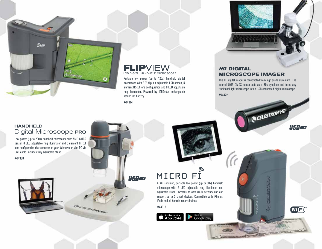

### LE **DU DIGITAL HANDHELD MICROSCOPE**

Portable low power (up to 120x) handheld digital microscope with 3.0" flip out adjustable LCD screen, 5 element IR cut lens configuration and 8 LED adjustable ring illuminator. Powered by 1050mAh rechargeable lithium ion battery.

#44314

**USBE** 



#### **HD DIGITAL MICROSCOPE IMAGER**

This HD digital imager is constructed from high grade aluminum. The internal 5MP CMOS sensor acts as a 30x eyepiece and turns any traditional light microscope into a USB connected digital microscope. #44422

**QCELESTRON HD** 

**UCD B** 

(Wi Fi)

#### **HANDHELD** Digital Microscope PRO

Low power (up to 200x) handheld microscope with 5MP CMOS sensor, 8 LED adjustable ring illuminator and 5 element IR cut lens configuration that connects to your Windows or Mac PC via USB cable. Includes fully adjustable stand.

#44308

COCKETTEN

# $MICRO$   $\vec{F1}$ <br>A WiFi enabled, portable low power (up to 80x) handheld

microscope with 6 LED adjustable ring illuminator and adjustable stand. Creates its own Wi-Fi network and can support up to 3 smart devices. Compatible with iPhones, iPads and all Android smart devices.

#44313

Available on the <sup>Get it on</sup><br>Google<sup>-</sup>play

*CONTRACTOR*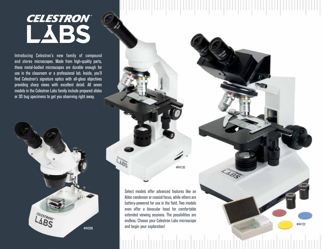## **CELESTRON®** LABS

Introducing Celestron's new family of compound and stereo microscopes. Made from high-quality parts, these metal-bodied microscopes are durable enough for use in the classroom or a professional lab. Inside, you'll find Celestron's signature optics with all-glass objectives providing sharp views with excellent detail. All seven models in the Celestron Labs family include prepared slides or 3D bug specimens to get you observing right away.



#44130

#44132

Select models offer advanced features like an Abbe condenser or coaxial focus, while others are battery-powered for use in the field. Two models even offer a binocular head for comfortable extended viewing sessions. The possibilities are endless. Choose your Celestron Labs microscope and begin your exploration!

LABS<sup>SI</sup>